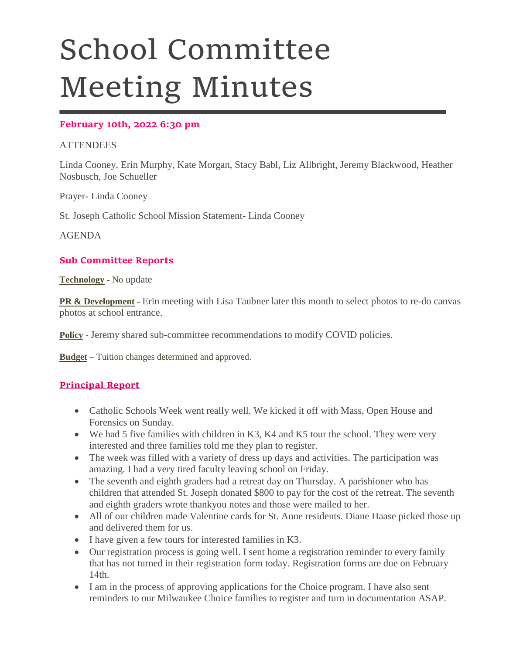# School Committee Meeting Minutes

## **February 10th, 2022 6:30 pm**

## **ATTENDEES**

Linda Cooney, Erin Murphy, Kate Morgan, Stacy Babl, Liz Allbright, Jeremy Blackwood, Heather Nosbusch, Joe Schueller

Prayer- Linda Cooney

St. Joseph Catholic School Mission Statement- Linda Cooney

AGENDA

### **Sub Committee Reports**

**Technology -** No update

**PR & Development -** Erin meeting with Lisa Taubner later this month to select photos to re-do canvas photos at school entrance.

**Policy -** Jeremy shared sub-committee recommendations to modify COVID policies.

**Budget –** Tuition changes determined and approved.

### **Principal Report**

- Catholic Schools Week went really well. We kicked it off with Mass, Open House and Forensics on Sunday.
- We had 5 five families with children in K3, K4 and K5 tour the school. They were very interested and three families told me they plan to register.
- The week was filled with a variety of dress up days and activities. The participation was amazing. I had a very tired faculty leaving school on Friday.
- The seventh and eighth graders had a retreat day on Thursday. A parishioner who has children that attended St. Joseph donated \$800 to pay for the cost of the retreat. The seventh and eighth graders wrote thankyou notes and those were mailed to her.
- All of our children made Valentine cards for St. Anne residents. Diane Haase picked those up and delivered them for us.
- I have given a few tours for interested families in K3.
- Our registration process is going well. I sent home a registration reminder to every family that has not turned in their registration form today. Registration forms are due on February 14th.
- I am in the process of approving applications for the Choice program. I have also sent reminders to our Milwaukee Choice families to register and turn in documentation ASAP.